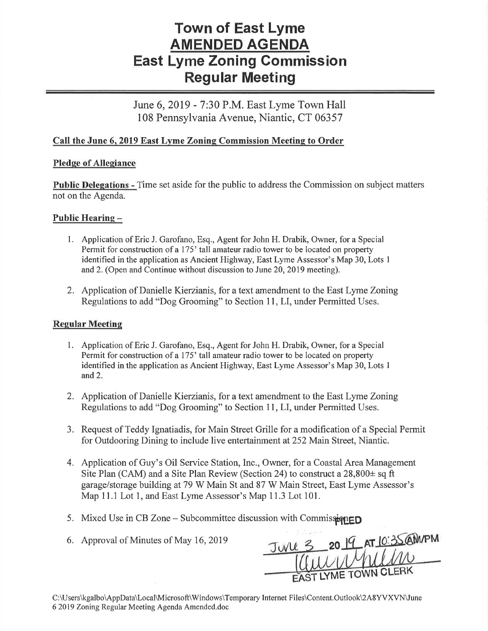# Town of East Lyme AMENDED AGENDA East Lyme Zoning Gommission Regular Meeting

June 6, 2019 - 7:30 P.M. East Lyme Town Hall 108 Pennsylvania Avenue, Niantic, CT 06357

## Call the June 6, 2019 East Lyme Zoning Commission Meeting to Order

### Pledge of Allegiance

Public Delegations - Time set aside for the public to address the Commission on subject matters not on the Agenda.

## Public Hearing -

- l. Application of Eric J. Garofano, Esq., Agent for John H. Drabik, Owner, for a Special Permit for construction of a 175' tall amateur radio tower to be located on property identified in the application as Ancient Highway, East Lyme Assessor's Map 30, Lots I and2. (Open and Continue without discussion to June 20,2019 meeting).
- 2. Application of Danielle Kierzianis, for a text amendment to the East Lyme Zoning Regulations to add "Dog Grooming" to Section 11, LI, under Permitted Uses.

### Regular Meeting

- 1. Application of Eric J. Garofano, Esq., Agent for John H. Drabik, Owner, for a Special Permit for construction of a 175' tall amateur radio tower to be located on property identified in the application as Ancient Highway, East Lyme Assessor's Map 30, Lots I and 2.
- 2. Application of Danielle Kierzianis, for a text amendment to the East Lyme Zoning Regulations to add "Dog Grooming" to Section 11, LI, under Permitted Uses.
- 3. Request of Teddy Ignatiadis, for Main Street Grille for a modification of a Special Permit for Outdooring Dining to include live entertainment at252 Main Street, Niantic.
- 4. Application of Guy's Oil Service Station, Inc., Owner, for a Coastal Area Management Site Plan (CAM) and a Site Plan Review (Section 24) to construct a  $28,800\pm$  sq ft garage/storage building at 79 W Main St and 87 W Main Street, East Lyme Assessor's Map 11.1 Lot 1, and East Lyme Assessor's Map 11.3 Lot 101.
- 5. Mixed Use in CB Zone Subcommittee discussion with Commis $\dot{a}$
- 6. Approval of Minutes of May 16,2019

LYME TOWN C 20

C:\Users\kgalbo\AppData\Local\Microsoft\Windows\Temporary Internet Files\Content.OutlookVA8YVXVN\June 6 2019 Zoning Regular Meeting Agenda Amended.doc